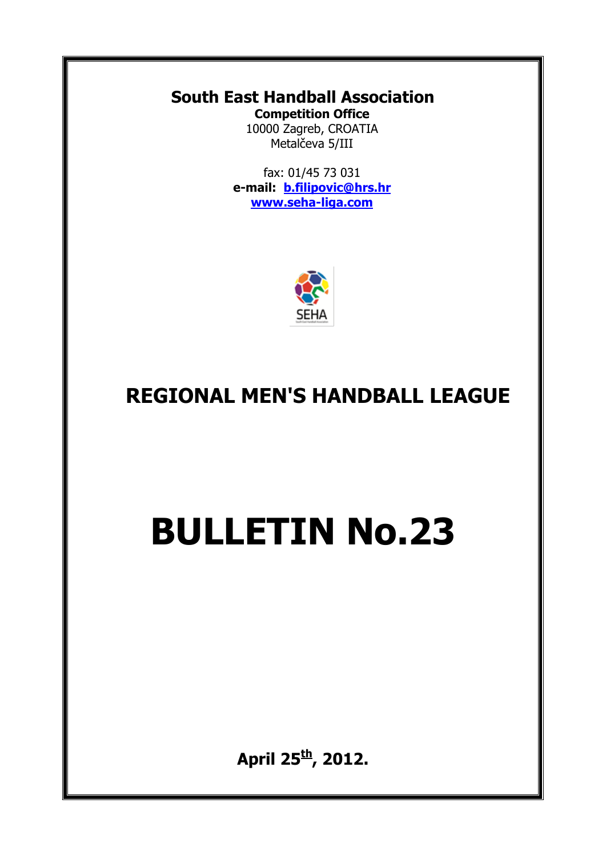#### **South East Handball Association Competition Office**

10000 Zagreb, CROATIA Metalčeva 5/III

fax: 01/45 73 031 **e-mail: [b.filipovic@hrs.hr](mailto:b.filipovic@hrs.hr) [www.seha-liga.com](http://www.seha-liga.com/)**



## **REGIONAL MEN'S HANDBALL LEAGUE**

# **BULLETIN No.23**

**April 25 th , 2012.**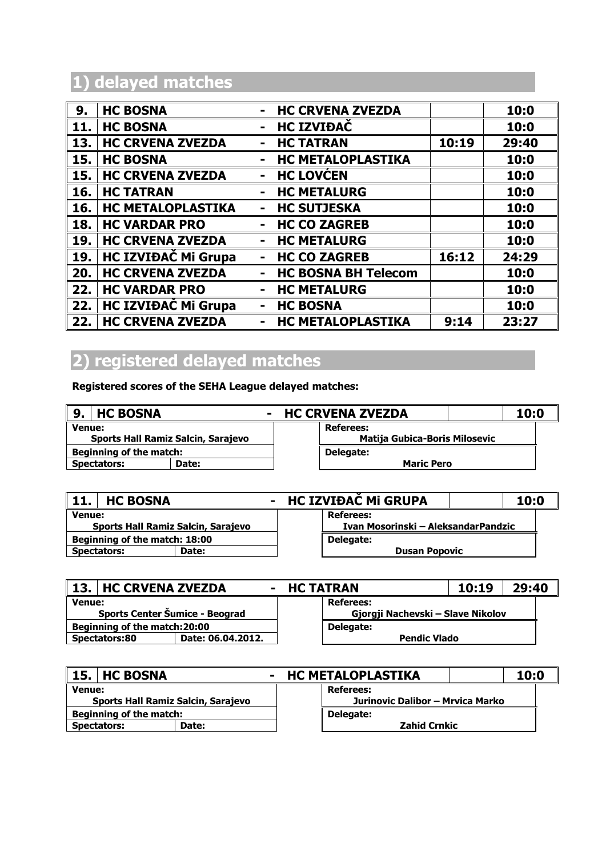#### **1) delayed matches**

| 9.  | <b>HC BOSNA</b>            | <b>HC CRVENA ZVEZDA</b><br>$\blacksquare$          | 10:0  |
|-----|----------------------------|----------------------------------------------------|-------|
| 11. | <b>HC BOSNA</b>            | <b>HC IZVIĐAČ</b><br>$\blacksquare$                | 10:0  |
| 13. | <b>HC CRVENA ZVEZDA</b>    | 10:19<br><b>HC TATRAN</b>                          | 29:40 |
| 15. | <b>HC BOSNA</b>            | <b>HC METALOPLASTIKA</b><br>$\blacksquare$         | 10:0  |
| 15. | <b>HC CRVENA ZVEZDA</b>    | <b>HC LOVĆEN</b>                                   | 10:0  |
| 16. | <b>HC TATRAN</b>           | <b>HC METALURG</b>                                 | 10:0  |
| 16. | <b>HC METALOPLASTIKA</b>   | <b>HC SUTJESKA</b><br>$\blacksquare$               | 10:0  |
| 18. | <b>HC VARDAR PRO</b>       | <b>HC CO ZAGREB</b><br>$\blacksquare$              | 10:0  |
| 19. | <b>HC CRVENA ZVEZDA</b>    | <b>HC METALURG</b>                                 | 10:0  |
| 19. | <b>HC IZVIĐAČ Mi Grupa</b> | 16:12<br><b>HC CO ZAGREB</b>                       | 24:29 |
| 20. | <b>HC CRVENA ZVEZDA</b>    | <b>HC BOSNA BH Telecom</b><br>$\blacksquare$       | 10:0  |
| 22. | <b>HC VARDAR PRO</b>       | <b>HC METALURG</b><br>$\blacksquare$               | 10:0  |
| 22. | <b>HC IZVIĐAČ Mi Grupa</b> | <b>HC BOSNA</b><br>$\blacksquare$                  | 10:0  |
| 22. | <b>HC CRVENA ZVEZDA</b>    | <b>HC METALOPLASTIKA</b><br>9:14<br>$\blacksquare$ | 23:27 |

#### **2) registered delayed matches**

**Registered scores of the SEHA League delayed matches:**

| <b>HC BOSNA</b><br>9.                     | $\blacksquare$ | <b>HC CRVENA ZVEZDA</b> |                                      |  | 10:0 |  |
|-------------------------------------------|----------------|-------------------------|--------------------------------------|--|------|--|
| <b>Venue:</b>                             |                |                         | Referees:                            |  |      |  |
| <b>Sports Hall Ramiz Salcin, Sarajevo</b> |                |                         | <b>Matija Gubica-Boris Milosevic</b> |  |      |  |
| <b>Beginning of the match:</b>            |                |                         | Delegate:                            |  |      |  |
| <b>Spectators:</b><br>Date:               |                |                         | <b>Maric Pero</b>                    |  |      |  |
|                                           |                |                         |                                      |  |      |  |

| 11.                                                 | <b>HC BOSNA</b> | $\sim$ | HC IZVIĐAČ Mi GRUPA                                     |                      |  | 10:0 |
|-----------------------------------------------------|-----------------|--------|---------------------------------------------------------|----------------------|--|------|
| <b>Venue:</b><br>Sports Hall Ramiz Salcin, Sarajevo |                 |        | <b>Referees:</b><br>Ivan Mosorinski – AleksandarPandzic |                      |  |      |
| Beginning of the match: 18:00                       |                 |        |                                                         | Delegate:            |  |      |
| <b>Spectators:</b>                                  |                 | Date:  |                                                         | <b>Dusan Popovic</b> |  |      |

| 13.1<br><b>HC CRVENA ZVEZDA</b>                 |  | - HC TATRAN |                                                       |  | 29:40 |
|-------------------------------------------------|--|-------------|-------------------------------------------------------|--|-------|
| <b>Venue:</b><br>Sports Center Šumice - Beograd |  |             | <b>Referees:</b><br>Gjorgji Nachevski – Slave Nikolov |  |       |
| Beginning of the match:20:00                    |  |             | Delegate:                                             |  |       |
| Date: 06.04.2012.<br><b>Spectators:80</b>       |  |             | <b>Pendic Vlado</b>                                   |  |       |

|                                    | 15. HC BOSNA |       | - HC METALOPLASTIKA              | 10:0                |  |
|------------------------------------|--------------|-------|----------------------------------|---------------------|--|
| <b>Venue:</b>                      |              |       | Referees:                        |                     |  |
| Sports Hall Ramiz Salcin, Sarajevo |              |       | Jurinovic Dalibor - Mrvica Marko |                     |  |
| <b>Beginning of the match:</b>     |              |       |                                  | Delegate:           |  |
| <b>Spectators:</b>                 |              | Date: |                                  | <b>Zahid Crnkic</b> |  |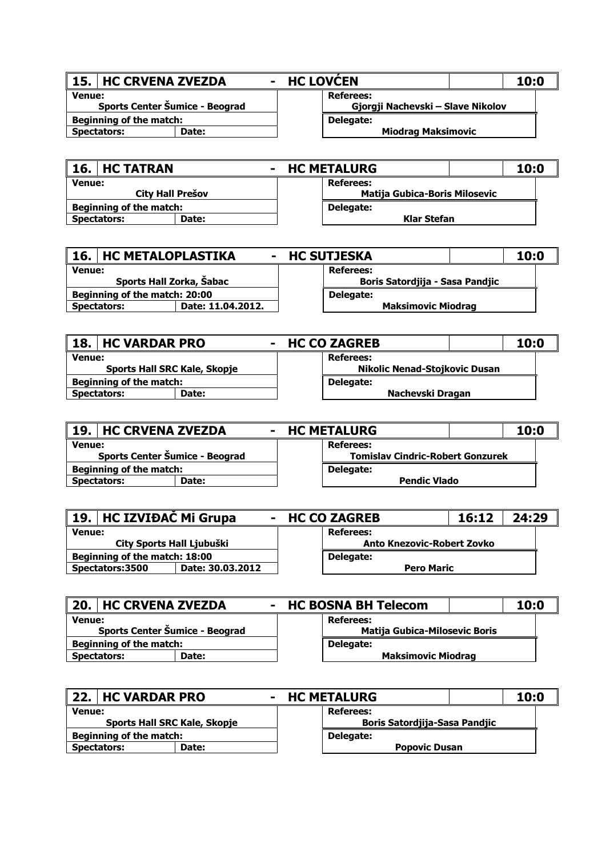| 15. HC CRVENA ZVEZDA                            |       | - HC LOVCEN |                                                | 10:0 |
|-------------------------------------------------|-------|-------------|------------------------------------------------|------|
| <b>Venue:</b><br>Sports Center Šumice - Beograd |       |             | Referees:<br>Gjorgji Nachevski – Slave Nikolov |      |
| <b>Beginning of the match:</b>                  |       |             | Delegate:                                      |      |
| <b>Spectators:</b>                              | Date: |             | <b>Miodrag Maksimovic</b>                      |      |

| 16. HC TATRAN                            | <b>HC METALURG</b>                                       | 10:0 |
|------------------------------------------|----------------------------------------------------------|------|
| <b>Venue:</b><br><b>City Hall Prešov</b> | <b>Referees:</b><br><b>Matija Gubica-Boris Milosevic</b> |      |
| <b>Beginning of the match:</b>           | Delegate:                                                |      |
| Date:<br><b>Spectators:</b>              | Klar Stefan                                              |      |

| 16.1<br><b>HC METALOPLASTIKA</b> | $\blacksquare$    | <b>HC SUTJESKA</b>              | 10:0 |
|----------------------------------|-------------------|---------------------------------|------|
| <b>Venue:</b>                    |                   | <b>Referees:</b>                |      |
| Sports Hall Zorka, Šabac         |                   | Boris Satordjija - Sasa Pandjic |      |
| Beginning of the match: 20:00    |                   | Delegate:                       |      |
| <b>Spectators:</b>               | Date: 11.04.2012. | <b>Maksimovic Miodrag</b>       |      |
|                                  |                   |                                 |      |

| 18.1                                | <b>HC VARDAR PRO</b> |                                      | - HC CO ZAGREB | 10:0 |  |
|-------------------------------------|----------------------|--------------------------------------|----------------|------|--|
| <b>Venue:</b>                       |                      |                                      | Referees:      |      |  |
| <b>Sports Hall SRC Kale, Skopje</b> |                      | <b>Nikolic Nenad-Stojkovic Dusan</b> |                |      |  |
| <b>Beginning of the match:</b>      |                      | Delegate:                            |                |      |  |
| <b>Spectators:</b><br>Date:         |                      | Nachevski Dragan                     |                |      |  |
|                                     |                      |                                      |                |      |  |

| <b>19. HC CRVENA ZVEZDA</b>    |              | - HC METALURG | 10:0                                    |  |
|--------------------------------|--------------|---------------|-----------------------------------------|--|
| <b>Venue:</b>                  |              |               | <b>Referees:</b>                        |  |
| Sports Center Šumice - Beograd |              |               | <b>Tomislay Cindric-Robert Gonzurek</b> |  |
| <b>Beginning of the match:</b> |              |               | Delegate:                               |  |
| <b>Spectators:</b>             | <b>Date:</b> |               | <b>Pendic Vlado</b>                     |  |

| 19.   HC IZVIĐAC Mi Grupa           |                           | - HC CO ZAGREB                    | 16:12 | 24:29 |  |
|-------------------------------------|---------------------------|-----------------------------------|-------|-------|--|
| <b>Venue:</b>                       |                           | <b>Referees:</b>                  |       |       |  |
|                                     | City Sports Hall Ljubuški | <b>Anto Knezovic-Robert Zovko</b> |       |       |  |
| Beginning of the match: 18:00       |                           | Delegate:                         |       |       |  |
| Date: 30.03.2012<br>Spectators:3500 |                           | <b>Pero Maric</b>                 |       |       |  |
|                                     |                           |                                   |       |       |  |

|                                                 | 20. HC CRVENA ZVEZDA           |                                                          | - HC BOSNA BH Telecom     |  |  | 10:0 |
|-------------------------------------------------|--------------------------------|----------------------------------------------------------|---------------------------|--|--|------|
| <b>Venue:</b><br>Sports Center Šumice - Beograd |                                | <b>Referees:</b><br><b>Matija Gubica-Milosevic Boris</b> |                           |  |  |      |
|                                                 | <b>Beginning of the match:</b> |                                                          | Delegate:                 |  |  |      |
|                                                 | <b>Spectators:</b>             | Date:                                                    | <b>Maksimovic Miodrag</b> |  |  |      |

| 22. HC VARDAR PRO                   |       | <b>HC METALURG</b><br>$\sim$         | 10:0 |  |
|-------------------------------------|-------|--------------------------------------|------|--|
| <b>Venue:</b>                       |       | Referees:                            |      |  |
| <b>Sports Hall SRC Kale, Skopje</b> |       | <b>Boris Satordjija-Sasa Pandjic</b> |      |  |
| <b>Beginning of the match:</b>      |       | Delegate:                            |      |  |
| Spectators:                         | Date: | <b>Popovic Dusan</b>                 |      |  |